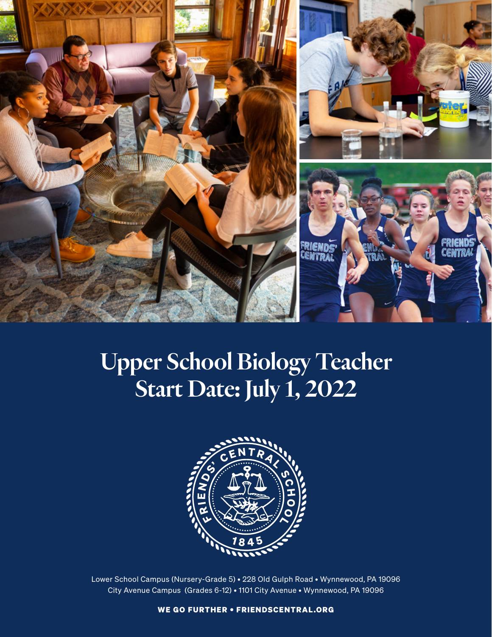

# Upper School Biology Teacher Start Date: July 1, 2022



Lower School Campus (Nursery-Grade 5) • 228 Old Gulph Road • Wynnewood, PA 19096 City Avenue Campus (Grades 6-12) • 1101 City Avenue • Wynnewood, PA 19096

WE GO FURTHER • FRIENDSCENTRAL.ORG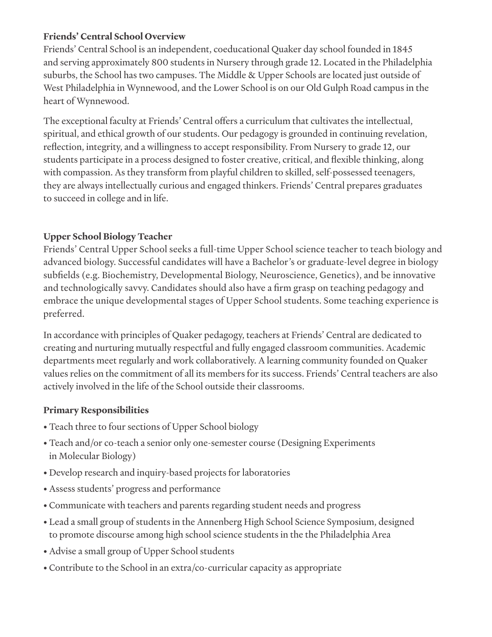#### **Friends' Central School Overview**

Friends' Central School is an independent, coeducational Quaker day school founded in 1845 and serving approximately 800 students in Nursery through grade 12. Located in the Philadelphia suburbs, the School has two campuses. The Middle & Upper Schools are located just outside of West Philadelphia in Wynnewood, and the Lower School is on our Old Gulph Road campus in the heart of Wynnewood.

The exceptional faculty at Friends' Central offers a curriculum that cultivates the intellectual, spiritual, and ethical growth of our students. Our pedagogy is grounded in continuing revelation, reflection, integrity, and a willingness to accept responsibility. From Nursery to grade 12, our students participate in a process designed to foster creative, critical, and flexible thinking, along with compassion. As they transform from playful children to skilled, self-possessed teenagers, they are always intellectually curious and engaged thinkers. Friends' Central prepares graduates to succeed in college and in life.

# **Upper School Biology Teacher**

Friends' Central Upper School seeks a full-time Upper School science teacher to teach biology and advanced biology. Successful candidates will have a Bachelor's or graduate-level degree in biology subfields (e.g. Biochemistry, Developmental Biology, Neuroscience, Genetics), and be innovative and technologically savvy. Candidates should also have a firm grasp on teaching pedagogy and embrace the unique developmental stages of Upper School students. Some teaching experience is preferred.

In accordance with principles of Quaker pedagogy, teachers at Friends' Central are dedicated to creating and nurturing mutually respectful and fully engaged classroom communities. Academic departments meet regularly and work collaboratively. A learning community founded on Quaker values relies on the commitment of all its members for its success. Friends' Central teachers are also actively involved in the life of the School outside their classrooms.

## **Primary Responsibilities**

- Teach three to four sections of Upper School biology
- Teach and/or co-teach a senior only one-semester course (Designing Experiments in Molecular Biology)
- Develop research and inquiry-based projects for laboratories
- Assess students' progress and performance
- Communicate with teachers and parents regarding student needs and progress
- Lead a small group of students in the Annenberg High School Science Symposium, designed to promote discourse among high school science students in the the Philadelphia Area
- Advise a small group of Upper School students
- Contribute to the School in an extra/co-curricular capacity as appropriate